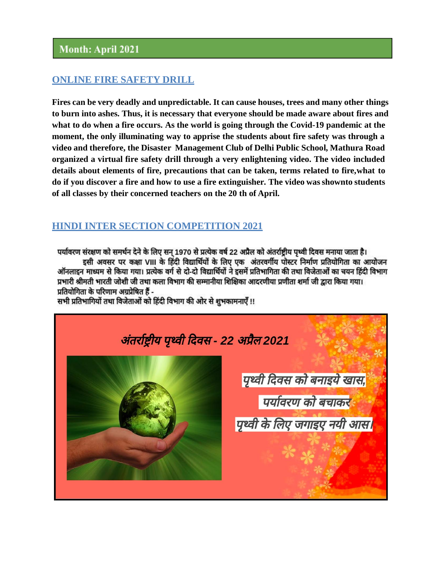#### **ONLINE FIRE SAFETY DRILL**

**Fires can be very deadly and unpredictable. It can cause houses, trees and many other things to burn into ashes. Thus, it is necessary that everyone should be made aware about fires and what to do when a fire occurs. As the world is going through the Covid-19 pandemic at the moment, the only illuminating way to apprise the students about fire safety was through a video and therefore, the Disaster Management Club of Delhi Public School, Mathura Road organized a virtual fire safety drill through a very enlightening video. The video included details about elements of fire, precautions that can be taken, terms related to fire,what to do if you discover a fire and how to use a fire extinguisher. The video wasshownto students of all classes by their concerned teachers on the 20 th of April.**

### **HINDI INTER SECTION COMPETITION 2021**

पर्यावरण संरक्षण को समर्थन देने के लिए सन् 1970 से प्रत्येक वर्ष 22 अप्रैल को अंतर्राष्ट्रीय पृथ्वी दिवस मनाया जाता है। इसी अवसर पर कक्षा VIII के हिंदी विद्यार्थियों के लिए एक अंतरवर्गीय पोस्टर निर्माण प्रतियोगिता का आयोजन ऑनलाइन माध्यम से किया गया। प्रत्येक वर्ग से दो-दो विद्यार्थियों ने इसमें प्रतिभागिता की तथा विजेताओं का चयन हिंदी विभाग प्रभारी श्रीमती भारती जोशी जी तथा कला विभाग की सम्मानीया शिक्षिका आदरणीया प्रणीता शर्मा जी द्वारा किया गया। प्रतियोगिता के परिणाम अग्रप्रेषित हैं -

सभी प्रतिभागियों तथा विजेताओं को हिंदी विभाग की ओर से शुभकामनाएँ !!

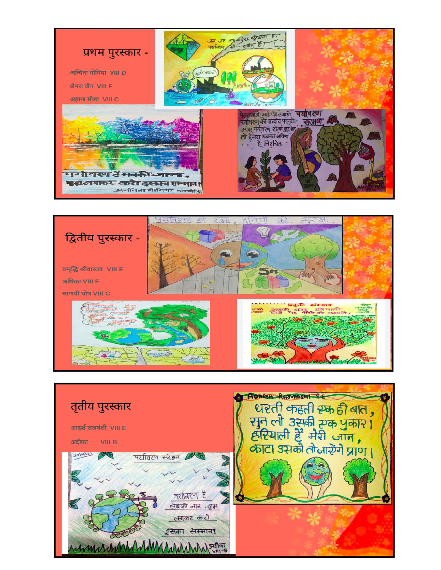



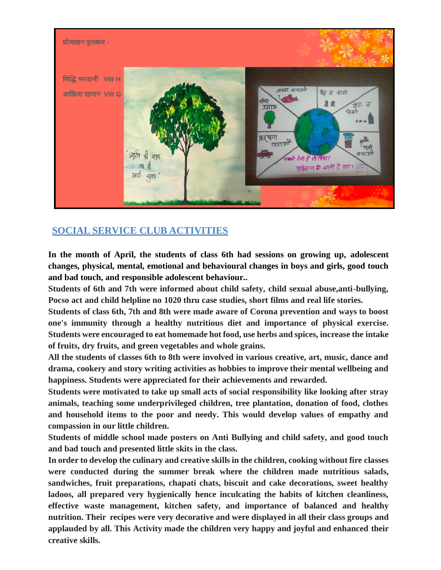

# **SOCIAL SERVICE CLUB ACTIVITIES**

**In the month of April, the students of class 6th had sessions on growing up, adolescent changes, physical, mental, emotional and behavioural changes in boys and girls, good touch and bad touch, and responsible adolescent behaviour..**

**Students of 6th and 7th were informed about child safety, child sexual abuse,anti-bullying, Pocso act and child helpline no 1020 thru case studies, short films and real life stories.**

**Students of class 6th, 7th and 8th were made aware of Corona prevention and ways to boost one's immunity through a healthy nutritious diet and importance of physical exercise. Students were encouraged to eat homemade hot food, use herbs and spices, increase the intake of fruits, dry fruits, and green vegetables and whole grains.**

**All the students of classes 6th to 8th were involved in various creative, art, music, dance and drama, cookery and story writing activities as hobbies to improve their mental wellbeing and happiness. Students were appreciated for their achievements and rewarded.**

**Students were motivated to take up small acts of social responsibility like looking after stray animals, teaching some underprivileged children, tree plantation, donation of food, clothes and household items to the poor and needy. This would develop values of empathy and compassion in our little children.**

**Students of middle school made posters on Anti Bullying and child safety, and good touch and bad touch and presented little skits in the class.**

**In order to develop the culinary and creative skills in the children, cooking without fire classes were conducted during the summer break where the children made nutritious salads, sandwiches, fruit preparations, chapati chats, biscuit and cake decorations, sweet healthy ladoos, all prepared very hygienically hence inculcating the habits of kitchen cleanliness, effective waste management, kitchen safety, and importance of balanced and healthy nutrition. Their recipes were very decorative and were displayed in all their class groups and applauded by all. This Activity made the children very happy and joyful and enhanced their creative skills.**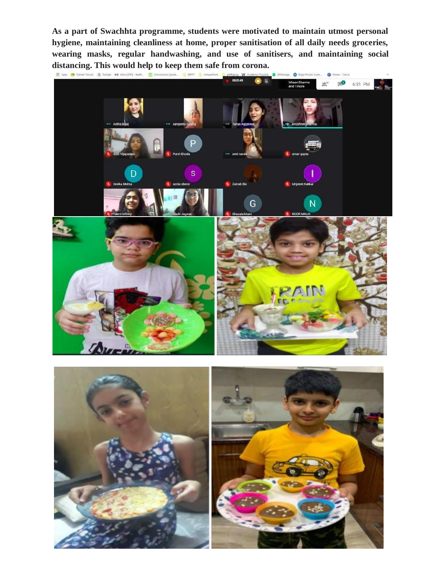**As a part of Swachhta programme, students were motivated to maintain utmost personal hygiene, maintaining cleanliness at home, proper sanitisation of all daily needs groceries, wearing masks, regular handwashing, and use of sanitisers, and maintaining social distancing. This would help to keep them safe from corona.**<br> **Express From an adventure of Google M** into (243)- Rath. **Ill Coronalwhell Upost. B** RENT **B** competition **Leading Proper W** Academic Projects

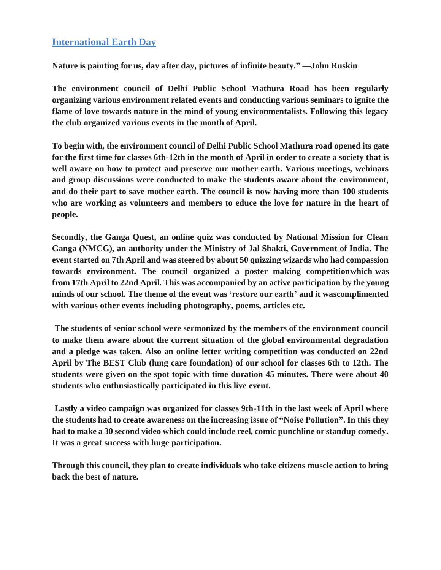#### **International Earth Day**

**Nature is painting for us, day after day, pictures of infinite beauty." —John Ruskin**

**The environment council of Delhi Public School Mathura Road has been regularly organizing various environment related events and conducting various seminars to ignite the flame of love towards nature in the mind of young environmentalists. Following this legacy the club organized various events in the month of April.**

**To begin with, the environment council of Delhi Public School Mathura road opened its gate for the first time for classes 6th-12th in the month of April in order to create a society that is well aware on how to protect and preserve our mother earth. Various meetings, webinars and group discussions were conducted to make the students aware about the environment**, **and do their part to save mother earth. The council is now having more than 100 students who are working as volunteers and members to educe the love for nature in the heart of people.**

**Secondly, the Ganga Quest, an online quiz was conducted by National Mission for Clean Ganga (NMCG), an authority under the Ministry of Jal Shakti, Government of India. The event started on 7th April and wassteered by about 50 quizzing wizards who had compassion towards environment. The council organized a poster making competitionwhich was from 17th April to 22nd April. This was accompanied by an active participation by the young minds of our school. The theme of the event was 'restore our earth' and it wascomplimented with various other events including photography, poems, articles etc.**

**The students of senior school were sermonized by the members of the environment council to make them aware about the current situation of the global environmental degradation and a pledge was taken. Also an online letter writing competition was conducted on 22nd April by The BEST Club (lung care foundation) of our school for classes 6th to 12th. The students were given on the spot topic with time duration 45 minutes. There were about 40 students who enthusiastically participated in this live event.**

**Lastly a video campaign was organized for classes 9th-11th in the last week of April where the students had to create awareness on the increasing issue of "Noise Pollution". In this they had to make a 30 second video which could include reel, comic punchline or standup comedy. It was a great success with huge participation.**

**Through this council, they plan to create individuals who take citizens muscle action to bring back the best of nature.**